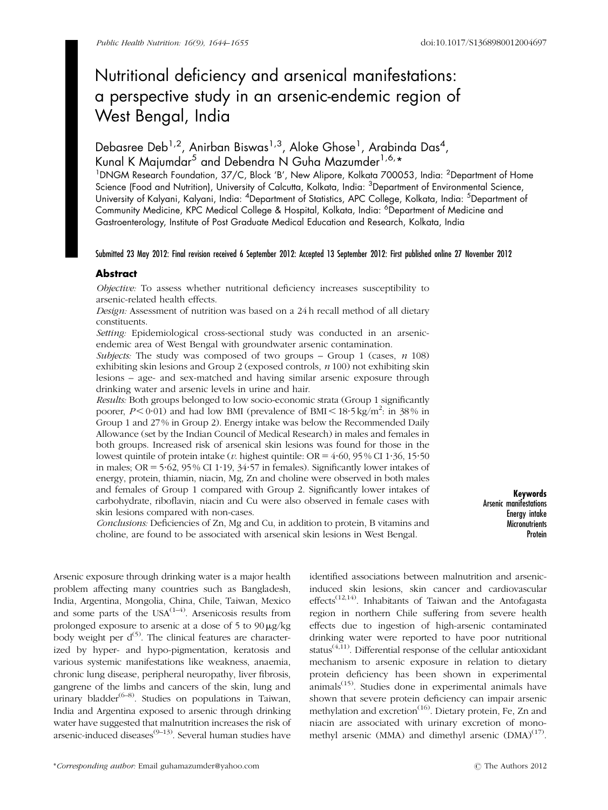# Nutritional deficiency and arsenical manifestations: a perspective study in an arsenic-endemic region of West Bengal, India

# Debasree Deb<sup>1,2</sup>, Anirban Biswas<sup>1,3</sup>, Aloke Ghose<sup>1</sup>, Arabinda Das<sup>4</sup>, Kunal K Majumdar<sup>5</sup> and Debendra N Guha Mazumder<sup>1,6,\*</sup>

<sup>1</sup>DNGM Research Foundation, 37/C, Block 'B', New Alipore, Kolkata 700053, India: <sup>2</sup>Department of Home Science (Food and Nutrition), University of Calcutta, Kolkata, India: <sup>3</sup>Department of Environmental Science, University of Kalyani, Kalyani, India: <sup>4</sup>Department of Statistics, APC College, Kolkata, India: <sup>5</sup>Department of Community Medicine, KPC Medical College & Hospital, Kolkata, India: <sup>6</sup>Department of Medicine and Gastroenterology, Institute of Post Graduate Medical Education and Research, Kolkata, India

# Submitted 23 May 2012: Final revision received 6 September 2012: Accepted 13 September 2012: First published online 27 November 2012

# Abstract

Objective: To assess whether nutritional deficiency increases susceptibility to arsenic-related health effects.

Design: Assessment of nutrition was based on a 24 h recall method of all dietary constituents.

Setting: Epidemiological cross-sectional study was conducted in an arsenicendemic area of West Bengal with groundwater arsenic contamination.

Subjects: The study was composed of two groups - Group 1 (cases,  $n$  108) exhibiting skin lesions and Group 2 (exposed controls,  $n 100$ ) not exhibiting skin lesions – age- and sex-matched and having similar arsenic exposure through drinking water and arsenic levels in urine and hair.

Results: Both groups belonged to low socio-economic strata (Group 1 significantly poorer,  $P < 0.01$ ) and had low BMI (prevalence of BMI  $< 18.5 \text{ kg/m}^2$ : in 38% in Group 1 and 27 % in Group 2). Energy intake was below the Recommended Daily Allowance (set by the Indian Council of Medical Research) in males and females in both groups. Increased risk of arsenical skin lesions was found for those in the lowest quintile of protein intake (v. highest quintile:  $OR = 4.60$ , 95 % CI 1.36, 15.50 in males; OR =  $5.62$ ,  $95\%$  CI 1.19,  $34.57$  in females). Significantly lower intakes of energy, protein, thiamin, niacin, Mg, Zn and choline were observed in both males and females of Group 1 compared with Group 2. Significantly lower intakes of carbohydrate, riboflavin, niacin and Cu were also observed in female cases with skin lesions compared with non-cases.

Conclusions: Deficiencies of Zn, Mg and Cu, in addition to protein, B vitamins and choline, are found to be associated with arsenical skin lesions in West Bengal.

Keywords Arsenic manifestations Energy intake **Micronutrients Protein** 

Arsenic exposure through drinking water is a major health problem affecting many countries such as Bangladesh, India, Argentina, Mongolia, China, Chile, Taiwan, Mexico and some parts of the  $USA^{(1-4)}$  $USA^{(1-4)}$  $USA^{(1-4)}$  $USA^{(1-4)}$  $USA^{(1-4)}$ . Arsenicosis results from prolonged exposure to arsenic at a dose of 5 to  $90 \mu g/kg$ body weight per  $d^{(5)}$  $d^{(5)}$  $d^{(5)}$ . The clinical features are characterized by hyper- and hypo-pigmentation, keratosis and various systemic manifestations like weakness, anaemia, chronic lung disease, peripheral neuropathy, liver fibrosis, gangrene of the limbs and cancers of the skin, lung and urinary bladder<sup> $(6-8)$  $(6-8)$  $(6-8)$  $(6-8)$  $(6-8)$ </sup>. Studies on populations in Taiwan, India and Argentina exposed to arsenic through drinking water have suggested that malnutrition increases the risk of arsenic-induced diseases<sup>([9](#page-11-0)–[13\)](#page-11-0)</sup>. Several human studies have

identified associations between malnutrition and arsenicinduced skin lesions, skin cancer and cardiovascular  $\text{effects}^{(12,14)}$  $\text{effects}^{(12,14)}$  $\text{effects}^{(12,14)}$ . Inhabitants of Taiwan and the Antofagasta region in northern Chile suffering from severe health effects due to ingestion of high-arsenic contaminated drinking water were reported to have poor nutritional status<sup>[\(4,11](#page-11-0))</sup>. Differential response of the cellular antioxidant mechanism to arsenic exposure in relation to dietary protein deficiency has been shown in experimental  $\text{animals}^{\left(15\right)}$ . Studies done in experimental animals have shown that severe protein deficiency can impair arsenic methylation and excretion<sup>([16\)](#page-11-0)</sup>. Dietary protein, Fe, Zn and niacin are associated with urinary excretion of monomethyl arsenic (MMA) and dimethyl arsenic  $(DMA)^{(17)}$  $(DMA)^{(17)}$  $(DMA)^{(17)}$ .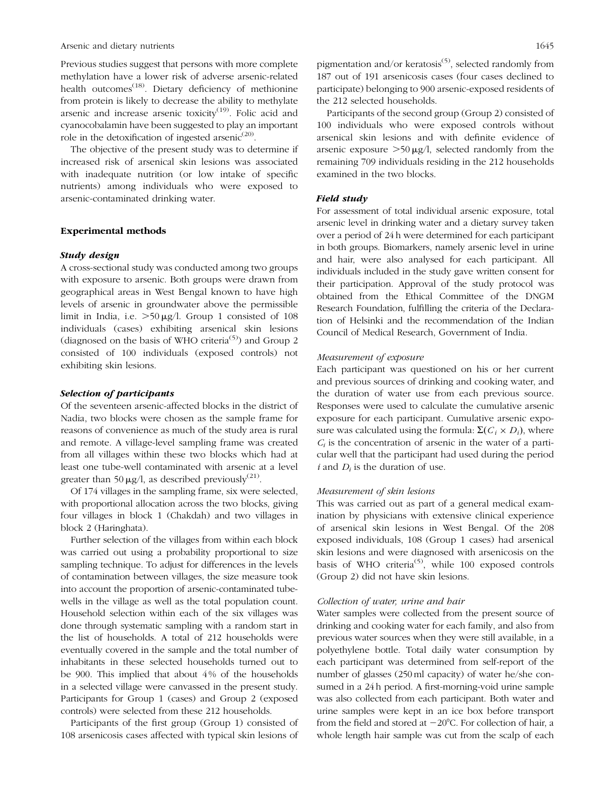Previous studies suggest that persons with more complete methylation have a lower risk of adverse arsenic-related health outcomes<sup>[\(18](#page-11-0))</sup>. Dietary deficiency of methionine from protein is likely to decrease the ability to methylate arsenic and increase arsenic toxicity<sup>([19\)](#page-11-0)</sup>. Folic acid and cyanocobalamin have been suggested to play an important role in the detoxification of ingested arsenic<sup> $(20)$  $(20)$ </sup>.

The objective of the present study was to determine if increased risk of arsenical skin lesions was associated with inadequate nutrition (or low intake of specific nutrients) among individuals who were exposed to arsenic-contaminated drinking water.

### Experimental methods

### Study design

A cross-sectional study was conducted among two groups with exposure to arsenic. Both groups were drawn from geographical areas in West Bengal known to have high levels of arsenic in groundwater above the permissible limit in India, i.e.  $>50 \mu g/l$ . Group 1 consisted of 108 individuals (cases) exhibiting arsenical skin lesions (diagnosed on the basis of WHO criteria<sup>[\(5\)](#page-11-0)</sup>) and Group 2 consisted of 100 individuals (exposed controls) not exhibiting skin lesions.

# Selection of participants

Of the seventeen arsenic-affected blocks in the district of Nadia, two blocks were chosen as the sample frame for reasons of convenience as much of the study area is rural and remote. A village-level sampling frame was created from all villages within these two blocks which had at least one tube-well contaminated with arsenic at a level greater than 50  $\mu$ g/l, as described previously<sup>([21\)](#page-11-0)</sup>.

Of 174 villages in the sampling frame, six were selected, with proportional allocation across the two blocks, giving four villages in block 1 (Chakdah) and two villages in block 2 (Haringhata).

Further selection of the villages from within each block was carried out using a probability proportional to size sampling technique. To adjust for differences in the levels of contamination between villages, the size measure took into account the proportion of arsenic-contaminated tubewells in the village as well as the total population count. Household selection within each of the six villages was done through systematic sampling with a random start in the list of households. A total of 212 households were eventually covered in the sample and the total number of inhabitants in these selected households turned out to be 900. This implied that about 4 % of the households in a selected village were canvassed in the present study. Participants for Group 1 (cases) and Group 2 (exposed controls) were selected from these 212 households.

Participants of the first group (Group 1) consisted of 108 arsenicosis cases affected with typical skin lesions of pigmentation and/or keratosis<sup>[\(5\)](#page-11-0)</sup>, selected randomly from 187 out of 191 arsenicosis cases (four cases declined to participate) belonging to 900 arsenic-exposed residents of the 212 selected households.

Participants of the second group (Group 2) consisted of 100 individuals who were exposed controls without arsenical skin lesions and with definite evidence of arsenic exposure  $>50 \mu g/l$ , selected randomly from the remaining 709 individuals residing in the 212 households examined in the two blocks.

# Field study

For assessment of total individual arsenic exposure, total arsenic level in drinking water and a dietary survey taken over a period of 24 h were determined for each participant in both groups. Biomarkers, namely arsenic level in urine and hair, were also analysed for each participant. All individuals included in the study gave written consent for their participation. Approval of the study protocol was obtained from the Ethical Committee of the DNGM Research Foundation, fulfilling the criteria of the Declaration of Helsinki and the recommendation of the Indian Council of Medical Research, Government of India.

### Measurement of exposure

Each participant was questioned on his or her current and previous sources of drinking and cooking water, and the duration of water use from each previous source. Responses were used to calculate the cumulative arsenic exposure for each participant. Cumulative arsenic exposure was calculated using the formula:  $\Sigma(C_i \times D_i)$ , where  $C_i$  is the concentration of arsenic in the water of a particular well that the participant had used during the period i and  $D_i$  is the duration of use.

# Measurement of skin lesions

This was carried out as part of a general medical examination by physicians with extensive clinical experience of arsenical skin lesions in West Bengal. Of the 208 exposed individuals, 108 (Group 1 cases) had arsenical skin lesions and were diagnosed with arsenicosis on the basis of WHO criteria<sup>([5](#page-11-0))</sup>, while 100 exposed controls (Group 2) did not have skin lesions.

### Collection of water, urine and hair

Water samples were collected from the present source of drinking and cooking water for each family, and also from previous water sources when they were still available, in a polyethylene bottle. Total daily water consumption by each participant was determined from self-report of the number of glasses (250 ml capacity) of water he/she consumed in a 24 h period. A first-morning-void urine sample was also collected from each participant. Both water and urine samples were kept in an ice box before transport from the field and stored at  $-20^{\circ}$ C. For collection of hair, a whole length hair sample was cut from the scalp of each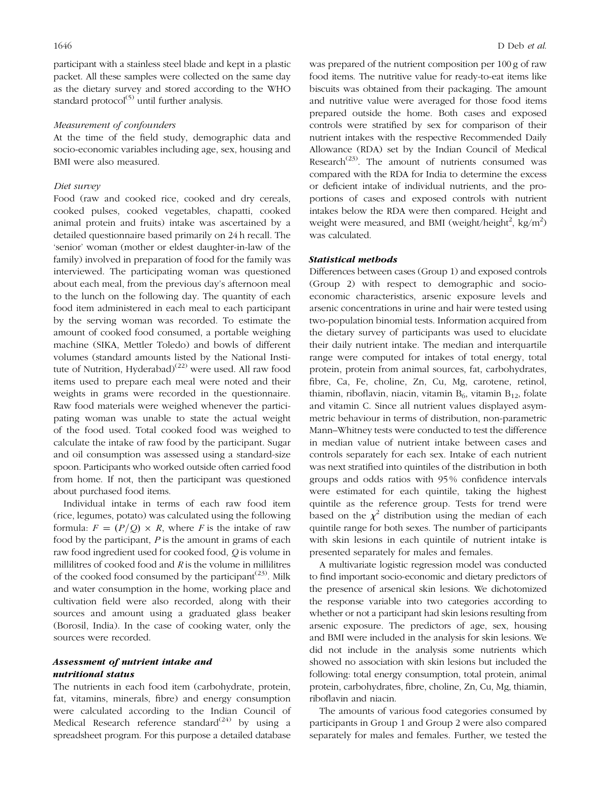participant with a stainless steel blade and kept in a plastic packet. All these samples were collected on the same day as the dietary survey and stored according to the WHO standard protocol $(5)$  $(5)$  until further analysis.

# Measurement of confounders

At the time of the field study, demographic data and socio-economic variables including age, sex, housing and BMI were also measured.

# Diet survey

Food (raw and cooked rice, cooked and dry cereals, cooked pulses, cooked vegetables, chapatti, cooked animal protein and fruits) intake was ascertained by a detailed questionnaire based primarily on 24 h recall. The 'senior' woman (mother or eldest daughter-in-law of the family) involved in preparation of food for the family was interviewed. The participating woman was questioned about each meal, from the previous day's afternoon meal to the lunch on the following day. The quantity of each food item administered in each meal to each participant by the serving woman was recorded. To estimate the amount of cooked food consumed, a portable weighing machine (SIKA, Mettler Toledo) and bowls of different volumes (standard amounts listed by the National Institute of Nutrition, Hyderabad $(22)$  $(22)$  were used. All raw food items used to prepare each meal were noted and their weights in grams were recorded in the questionnaire. Raw food materials were weighed whenever the participating woman was unable to state the actual weight of the food used. Total cooked food was weighed to calculate the intake of raw food by the participant. Sugar and oil consumption was assessed using a standard-size spoon. Participants who worked outside often carried food from home. If not, then the participant was questioned about purchased food items.

Individual intake in terms of each raw food item (rice, legumes, potato) was calculated using the following formula:  $F = (P/Q) \times R$ , where F is the intake of raw food by the participant,  $P$  is the amount in grams of each raw food ingredient used for cooked food, Q is volume in millilitres of cooked food and  $R$  is the volume in millilitres of the cooked food consumed by the participant<sup> $(23)$  $(23)$ </sup>. Milk and water consumption in the home, working place and cultivation field were also recorded, along with their sources and amount using a graduated glass beaker (Borosil, India). In the case of cooking water, only the sources were recorded.

# Assessment of nutrient intake and nutritional status

The nutrients in each food item (carbohydrate, protein, fat, vitamins, minerals, fibre) and energy consumption were calculated according to the Indian Council of Medical Research reference standard<sup>[\(24](#page-11-0))</sup> by using a spreadsheet program. For this purpose a detailed database

was prepared of the nutrient composition per 100 g of raw food items. The nutritive value for ready-to-eat items like biscuits was obtained from their packaging. The amount and nutritive value were averaged for those food items prepared outside the home. Both cases and exposed controls were stratified by sex for comparison of their nutrient intakes with the respective Recommended Daily Allowance (RDA) set by the Indian Council of Medical Research<sup> $(23)$  $(23)$ </sup>. The amount of nutrients consumed was compared with the RDA for India to determine the excess or deficient intake of individual nutrients, and the proportions of cases and exposed controls with nutrient intakes below the RDA were then compared. Height and weight were measured, and BMI (weight/height<sup>2</sup>, kg/m<sup>2</sup>) was calculated.

# Statistical methods

Differences between cases (Group 1) and exposed controls (Group 2) with respect to demographic and socioeconomic characteristics, arsenic exposure levels and arsenic concentrations in urine and hair were tested using two-population binomial tests. Information acquired from the dietary survey of participants was used to elucidate their daily nutrient intake. The median and interquartile range were computed for intakes of total energy, total protein, protein from animal sources, fat, carbohydrates, fibre, Ca, Fe, choline, Zn, Cu, Mg, carotene, retinol, thiamin, riboflavin, niacin, vitamin  $B_6$ , vitamin  $B_{12}$ , folate and vitamin C. Since all nutrient values displayed asymmetric behaviour in terms of distribution, non-parametric Mann–Whitney tests were conducted to test the difference in median value of nutrient intake between cases and controls separately for each sex. Intake of each nutrient was next stratified into quintiles of the distribution in both groups and odds ratios with 95 % confidence intervals were estimated for each quintile, taking the highest quintile as the reference group. Tests for trend were based on the  $\chi^2$  distribution using the median of each quintile range for both sexes. The number of participants with skin lesions in each quintile of nutrient intake is presented separately for males and females.

A multivariate logistic regression model was conducted to find important socio-economic and dietary predictors of the presence of arsenical skin lesions. We dichotomized the response variable into two categories according to whether or not a participant had skin lesions resulting from arsenic exposure. The predictors of age, sex, housing and BMI were included in the analysis for skin lesions. We did not include in the analysis some nutrients which showed no association with skin lesions but included the following: total energy consumption, total protein, animal protein, carbohydrates, fibre, choline, Zn, Cu, Mg, thiamin, riboflavin and niacin.

The amounts of various food categories consumed by participants in Group 1 and Group 2 were also compared separately for males and females. Further, we tested the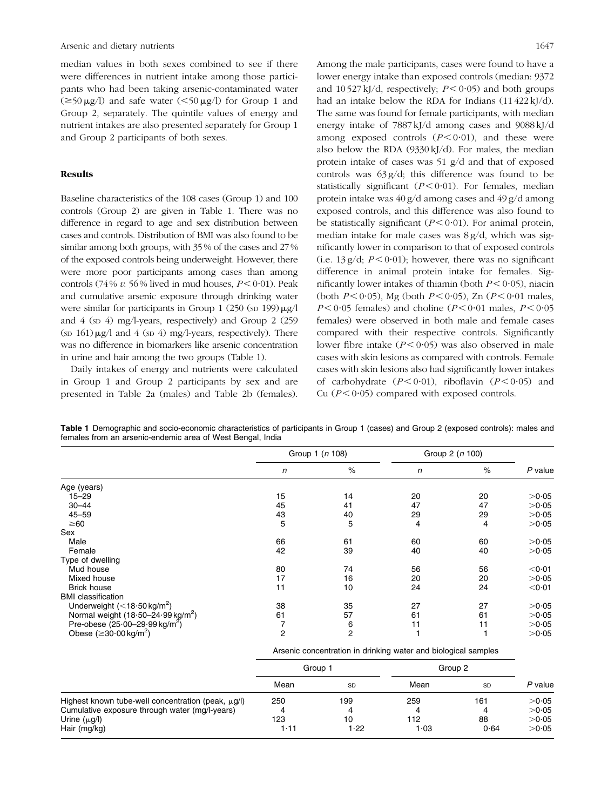median values in both sexes combined to see if there were differences in nutrient intake among those participants who had been taking arsenic-contaminated water  $(\geq 50 \,\mu\text{g/l})$  and safe water  $(< 50 \,\mu\text{g/l})$  for Group 1 and Group 2, separately. The quintile values of energy and nutrient intakes are also presented separately for Group 1 and Group 2 participants of both sexes.

# Results

Baseline characteristics of the 108 cases (Group 1) and 100 controls (Group 2) are given in Table 1. There was no difference in regard to age and sex distribution between cases and controls. Distribution of BMI was also found to be similar among both groups, with 35 % of the cases and 27 % of the exposed controls being underweight. However, there were more poor participants among cases than among controls (74%  $\nu$ , 56% lived in mud houses,  $P \le 0.01$ ). Peak and cumulative arsenic exposure through drinking water were similar for participants in Group 1 (250 (sp 199) $\mu$ g/l and 4 (SD 4) mg/l-years, respectively) and Group 2 (259 (sp  $161)$   $\mu$ g/l and 4 (sp 4) mg/l-years, respectively). There was no difference in biomarkers like arsenic concentration in urine and hair among the two groups (Table 1).

Daily intakes of energy and nutrients were calculated in Group 1 and Group 2 participants by sex and are presented in [Table 2a](#page-4-0) (males) and [Table 2b](#page-4-0) (females). Among the male participants, cases were found to have a lower energy intake than exposed controls (median: 9372 and 10527 kJ/d, respectively;  $P \le 0.05$ ) and both groups had an intake below the RDA for Indians (11 422 kJ/d). The same was found for female participants, with median energy intake of 7887 kJ/d among cases and 9088 kJ/d among exposed controls  $(P < 0.01)$ , and these were also below the RDA (9330 kJ/d). For males, the median protein intake of cases was 51 g/d and that of exposed controls was  $63 g/d$ ; this difference was found to be statistically significant  $(P < 0.01)$ . For females, median protein intake was 40 g/d among cases and 49 g/d among exposed controls, and this difference was also found to be statistically significant  $(P < 0.01)$ . For animal protein, median intake for male cases was 8 g/d, which was significantly lower in comparison to that of exposed controls (i.e. 13 g/d;  $P \le 0.01$ ); however, there was no significant difference in animal protein intake for females. Significantly lower intakes of thiamin (both  $P \le 0.05$ ), niacin (both  $P < 0.05$ ), Mg (both  $P < 0.05$ ), Zn ( $P < 0.01$  males,  $P \le 0.05$  females) and choline ( $P \le 0.01$  males,  $P \le 0.05$ females) were observed in both male and female cases compared with their respective controls. Significantly lower fibre intake  $(P < 0.05)$  was also observed in male cases with skin lesions as compared with controls. Female cases with skin lesions also had significantly lower intakes of carbohydrate  $(P < 0.01)$ , riboflavin  $(P < 0.05)$  and Cu ( $P < 0.05$ ) compared with exposed controls.

| Table 1 Demographic and socio-economic characteristics of participants in Group 1 (cases) and Group 2 (exposed controls): males and |  |  |  |
|-------------------------------------------------------------------------------------------------------------------------------------|--|--|--|
| females from an arsenic-endemic area of West Bengal, India                                                                          |  |  |  |

|                                                         |                | Group 1 (n 108) |                                                                | Group 2 (n 100) |                  |
|---------------------------------------------------------|----------------|-----------------|----------------------------------------------------------------|-----------------|------------------|
|                                                         | n              | $\%$            | n                                                              | $\%$            | $P$ value        |
| Age (years)                                             |                |                 |                                                                |                 |                  |
| $15 - 29$                                               | 15             | 14              | 20                                                             | 20              | >0.05            |
| $30 - 44$                                               | 45             | 41              | 47                                                             | 47              | >0.05            |
| $45 - 59$                                               | 43             | 40              | 29                                                             | 29              | >0.05            |
| $\geq 60$                                               | 5              | 5               | 4                                                              | 4               | >0.05            |
| Sex                                                     |                |                 |                                                                |                 |                  |
| Male                                                    | 66             | 61              | 60                                                             | 60              | >0.05            |
| Female                                                  | 42             | 39              | 40                                                             | 40              | >0.05            |
| Type of dwelling                                        |                |                 |                                                                |                 |                  |
| Mud house                                               | 80             | 74              | 56                                                             | 56              | < 0.01           |
| Mixed house                                             | 17             | 16              | 20                                                             | 20              | >0.05            |
| <b>Brick house</b>                                      | 11             | 10              | 24                                                             | 24              | $<$ 0 $\cdot$ 01 |
| <b>BMI</b> classification                               |                |                 |                                                                |                 |                  |
| Underweight $(<18.50 \text{ kg/m}^2)$                   | 38             | 35              | 27                                                             | 27              | >0.05            |
| Normal weight (18.50-24.99 kg/m <sup>2</sup> )          | 61             | 57              | 61                                                             | 61              | >0.05            |
| Pre-obese $(25.00 - 29.99 \text{ kg/m}^2)$              | 7              | 6               | 11                                                             | 11              | >0.05            |
| Obese $(\geq 30.00 \text{ kg/m}^2)$                     | $\overline{2}$ | $\overline{2}$  | 1                                                              |                 | >0.05            |
|                                                         |                |                 | Arsenic concentration in drinking water and biological samples |                 |                  |
|                                                         |                | Group 1         |                                                                | Group 2         |                  |
|                                                         | Mean           | <b>SD</b>       | Mean                                                           | SD              | $P$ value        |
| Highest known tube-well concentration (peak, $\mu$ g/l) | 250            | 199             | 259                                                            | 161             | >0.05            |
| Cumulative exposure through water (mg/l-years)          | 4              | 4               | 4                                                              | 4               | >0.05            |
| Urine $(\mu g/l)$                                       | 123            | 10              | 112                                                            | 88              | >0.05            |
| Hair (mg/kg)                                            | 1.11           | 1.22            | 1.03                                                           | 0.64            | >0.05            |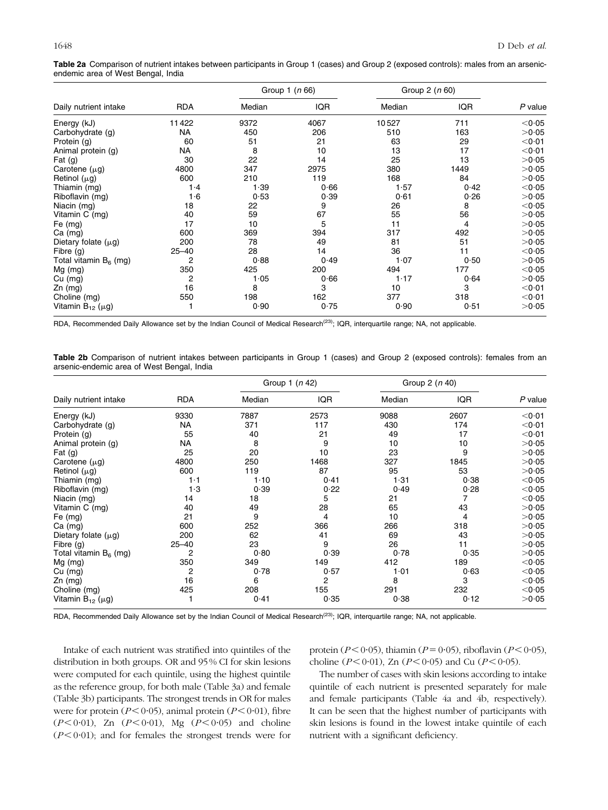<span id="page-4-0"></span>Table 2a Comparison of nutrient intakes between participants in Group 1 (cases) and Group 2 (exposed controls): males from an arsenicendemic area of West Bengal, India

|                             |                |        | Group 1 (n 66) | Group $2(n60)$ |      |                  |
|-----------------------------|----------------|--------|----------------|----------------|------|------------------|
| Daily nutrient intake       | <b>RDA</b>     | Median | <b>IQR</b>     | Median         | IQR  | $P$ value        |
| Energy (kJ)                 | 11422          | 9372   | 4067           | 10527          | 711  | $<$ 0 $\cdot$ 05 |
| Carbohydrate (g)            | NA             | 450    | 206            | 510            | 163  | >0.05            |
| Protein (g)                 | 60             | 51     | 21             | 63             | 29   | $<$ 0.01         |
| Animal protein (g)          | NA             | 8      | 10             | 13             | 17   | $<$ 0.01         |
| Fat $(g)$                   | 30             | 22     | 14             | 25             | 13   | >0.05            |
| Carotene $(\mu q)$          | 4800           | 347    | 2975           | 380            | 1449 | >0.05            |
| Retinol $(\mu g)$           | 600            | 210    | 119            | 168            | 84   | >0.05            |
| Thiamin (mg)                | 1.4            | 1.39   | 0.66           | 1.57           | 0.42 | $<$ 0.05         |
| Riboflavin (mg)             | 1.6            | 0.53   | 0.39           | 0.61           | 0.26 | >0.05            |
| Niacin (mg)                 | 18             | 22     | 9              | 26             | 8    | $<$ 0.05         |
| Vitamin C (mg)              | 40             | 59     | 67             | 55             | 56   | >0.05            |
| Fe (mg)                     | 17             | 10     | 5              | 11             | 4    | >0.05            |
| $Ca$ (mg)                   | 600            | 369    | 394            | 317            | 492  | >0.05            |
| Dietary folate $(\mu g)$    | 200            | 78     | 49             | 81             | 51   | >0.05            |
| Fibre (g)                   | $25 - 40$      | 28     | 14             | 36             | 11   | $<$ 0.05         |
| Total vitamin $B_6$ (mg)    | $\overline{2}$ | 0.88   | 0.49           | 1.07           | 0.50 | >0.05            |
| $Mg$ (mg)                   | 350            | 425    | 200            | 494            | 177  | $<$ 0.05         |
| $Cu$ (mg)                   | 2              | 1.05   | 0.66           | 1.17           | 0.64 | >0.05            |
| $Zn$ (mg)                   | 16             | 8      | 3              | 10             | 3    | $<$ 0 $\cdot$ 01 |
| Choline (mg)                | 550            | 198    | 162            | 377            | 318  | $<$ 0 $\cdot$ 01 |
| Vitamin $B_{12}$ ( $\mu$ g) |                | 0.90   | 0.75           | 0.90           | 0.51 | >0.05            |

RDA, Recommended Daily Allowance set by the Indian Council of Medical Research<sup>([23](#page-11-0))</sup>; IQR, interquartile range; NA, not applicable.

Table 2b Comparison of nutrient intakes between participants in Group 1 (cases) and Group 2 (exposed controls): females from an arsenic-endemic area of West Bengal, India

|                                   |            |        | Group 1 (n 42) |        | Group $2(n 40)$ |                  |
|-----------------------------------|------------|--------|----------------|--------|-----------------|------------------|
| Daily nutrient intake             | <b>RDA</b> | Median | <b>IQR</b>     | Median | <b>IQR</b>      | $P$ value        |
| Energy (kJ)                       | 9330       | 7887   | 2573           | 9088   | 2607            | $<$ 0.01         |
| Carbohydrate (g)                  | ΝA         | 371    | 117            | 430    | 174             | $<$ 0.01         |
| Protein (g)                       | 55         | 40     | 21             | 49     | 17              | $<$ 0.01         |
| Animal protein (g)                | ΝA         | 8      | 9              | 10     | 10              | >0.05            |
| Fat $(g)$                         | 25         | 20     | 10             | 23     | 9               | >0.05            |
| Carotene $(\mu g)$                | 4800       | 250    | 1468           | 327    | 1845            | >0.05            |
| Retinol $(\mu g)$                 | 600        | 119    | 87             | 95     | 53              | >0.05            |
| Thiamin (mg)                      | 1·1        | 1.10   | 0.41           | 1.31   | 0.38            | $<$ 0 $\cdot$ 05 |
| Riboflavin (mg)                   | 1.3        | 0.39   | 0.22           | 0.49   | 0.28            | $<$ 0 $\cdot$ 05 |
| Niacin (mg)                       | 14         | 18     | 5              | 21     |                 | $<$ 0 $\cdot$ 05 |
| Vitamin C (mg)                    | 40         | 49     | 28             | 65     | 43              | >0.05            |
| Fe (mg)                           | 21         | 9      | 4              | 10     | 4               | >0.05            |
| Ca (mg)                           | 600        | 252    | 366            | 266    | 318             | >0.05            |
| Dietary folate $(\mu g)$          | 200        | 62     | 41             | 69     | 43              | >0.05            |
| Fibre $(g)$                       | $25 - 40$  | 23     | 9              | 26     | 11              | >0.05            |
| Total vitamin B <sub>6</sub> (mg) | 2          | 0.80   | 0.39           | 0.78   | 0.35            | >0.05            |
| $Mg$ (mg)                         | 350        | 349    | 149            | 412    | 189             | $<$ 0.05         |
| $Cu$ (mg)                         | 2          | 0.78   | 0.57           | 1.01   | 0.63            | $<$ 0.05         |
| $Zn$ (mg)                         | 16         | 6      | $\overline{2}$ | 8      | 3               | $<$ 0 $\cdot$ 05 |
| Choline (mg)                      | 425        | 208    | 155            | 291    | 232             | $<$ 0 $\cdot$ 05 |
| Vitamin $B_{12}$ ( $\mu$ g)       |            | 0.41   | 0.35           | 0.38   | 0.12            | >0.05            |

RDA, Recommended Daily Allowance set by the Indian Council of Medical Research<sup>([23](#page-11-0))</sup>; IQR, interquartile range; NA, not applicable.

Intake of each nutrient was stratified into quintiles of the distribution in both groups. OR and 95 % CI for skin lesions were computed for each quintile, using the highest quintile as the reference group, for both male [\(Table 3a\)](#page-5-0) and female ([Table 3b](#page-5-0)) participants. The strongest trends in OR for males were for protein ( $P < 0.05$ ), animal protein ( $P < 0.01$ ), fibre  $(P < 0.01)$ , Zn  $(P < 0.01)$ , Mg  $(P < 0.05)$  and choline  $(P < 0.01)$ ; and for females the strongest trends were for

protein ( $P < 0.05$ ), thiamin ( $P = 0.05$ ), riboflavin ( $P < 0.05$ ), choline ( $P < 0.01$ ), Zn ( $P < 0.05$ ) and Cu ( $P < 0.05$ ).

The number of cases with skin lesions according to intake quintile of each nutrient is presented separately for male and female participants [\(Table 4a](#page-6-0) and [4b,](#page-6-0) respectively). It can be seen that the highest number of participants with skin lesions is found in the lowest intake quintile of each nutrient with a significant deficiency.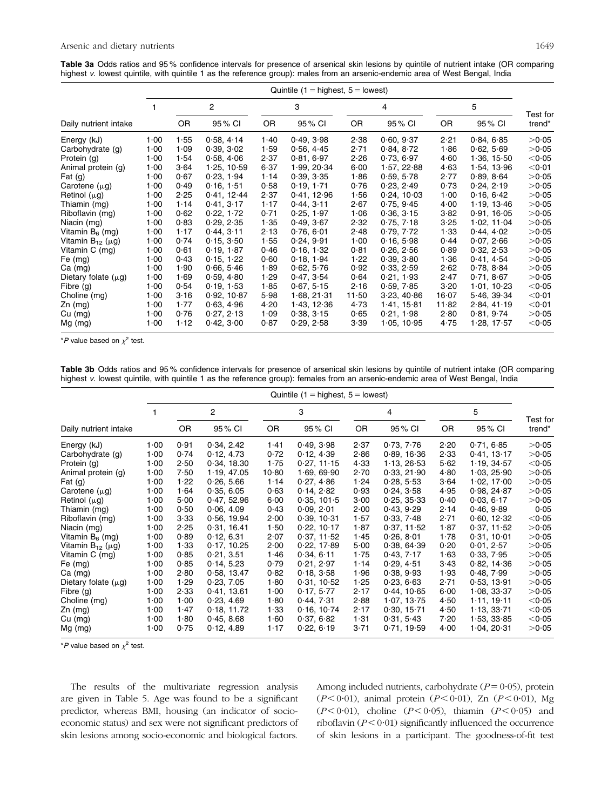<span id="page-5-0"></span>Table 3a Odds ratios and 95% confidence intervals for presence of arsenical skin lesions by quintile of nutrient intake (OR comparing highest v. lowest quintile, with quintile 1 as the reference group): males from an arsenic-endemic area of West Bengal, India

|                             |          | Quintile (1 = highest, $5 =$ lowest) |             |      |             |          |             |           |             |                  |  |
|-----------------------------|----------|--------------------------------------|-------------|------|-------------|----------|-------------|-----------|-------------|------------------|--|
|                             |          |                                      | 2           |      | 3           |          | 4           |           | 5           | Test for         |  |
| Daily nutrient intake       |          | <b>OR</b>                            | 95 % CI     | 0R   | 95 % CI     | 0R       | 95 % CI     | <b>OR</b> | 95% CI      | trend*           |  |
| Energy (kJ)                 | 1.00     | 1.55                                 | 0.58, 4.14  | 1.40 | 0.49, 3.98  | 2.38     | 0.60, 9.37  | 2.21      | 0.84, 6.85  | >0.05            |  |
| Carbohydrate (g)            | 1.00     | 1.09                                 | 0.39, 3.02  | 1.59 | 0.56, 4.45  | 2.71     | 0.84, 8.72  | 1.86      | 0.62, 5.69  | >0.05            |  |
| Protein (g)                 | 1.00     | 1.54                                 | 0.58, 4.06  | 2.37 | 0.81, 6.97  | 2.26     | 0.73, 6.97  | 4.60      | 1.36, 15.50 | $<$ 0.05         |  |
| Animal protein (g)          | 1.00     | 3.64                                 | 1.25, 10.59 | 6.37 | 1.99, 20.34 | $6 - 00$ | 1.57, 22.88 | 4.63      | 1.54, 13.96 | < 0.01           |  |
| Fat $(g)$                   | 1.00     | 0.67                                 | 0.23, 1.94  | 1.14 | 0.39, 3.35  | 1.86     | 0.59, 5.78  | 2.77      | 0.89, 8.64  | >0.05            |  |
| Carotene $(\mu q)$          | 1.00     | 0.49                                 | 0.16, 1.51  | 0.58 | 0.19, 1.71  | 0.76     | 0.23, 2.49  | 0.73      | 0.24, 2.19  | >0.05            |  |
| Retinol $(\mu q)$           | 1.00     | 2.25                                 | 0.41, 12.44 | 2.37 | 0.41, 12.96 | 1.56     | 0.24, 10.03 | 1.00      | 0.16, 6.42  | >0.05            |  |
| Thiamin (mg)                | 1.00     | 1.14                                 | 0.41, 3.17  | 1.17 | 0.44, 3.11  | 2.67     | 0.75, 9.45  | 4.00      | 1.19, 13.46 | >0.05            |  |
| Riboflavin (mg)             | 1.00     | 0.62                                 | 0.22, 1.72  | 0.71 | 0.25, 1.97  | 1.06     | 0.36, 3.15  | 3.82      | 0.91, 16.05 | >0.05            |  |
| Niacin (mg)                 | 1.00     | 0.83                                 | 0.29, 2.35  | 1.35 | 0.49, 3.67  | 2.32     | 0.75, 7.18  | 3.25      | 1.02, 11.04 | >0.05            |  |
| Vitamin $B_6$ (mg)          | 1.00     | 1.17                                 | 0.44, 3.11  | 2.13 | 0.76, 6.01  | 2.48     | 0.79, 7.72  | 1.33      | 0.44, 4.02  | >0.05            |  |
| Vitamin $B_{12}$ ( $\mu$ g) | 1.00     | 0.74                                 | 0.15, 3.50  | 1.55 | 0.24, 9.91  | 1.00     | 0.16, 5.98  | 0.44      | 0.07, 2.66  | >0.05            |  |
| Vitamin C (mg)              | 1.00     | 0.61                                 | 0.19, 1.87  | 0.46 | 0.16, 1.32  | 0.81     | 0.26, 2.56  | 0.89      | 0.32, 2.53  | >0.05            |  |
| Fe $(mg)$                   | 1.00     | 0.43                                 | 0.15, 1.22  | 0.60 | 0.18, 1.94  | 1.22     | 0.39, 3.80  | 1.36      | 0.41, 4.54  | >0.05            |  |
| $Ca$ (mg)                   | 1.00     | 1.90                                 | 0.66, 5.46  | 1.89 | 0.62, 5.76  | 0.92     | 0.33, 2.59  | 2.62      | 0.78, 8.84  | >0.05            |  |
| Dietary folate $(\mu g)$    | 1.00     | 1.69                                 | 0.59, 4.80  | 1.29 | 0.47, 3.54  | 0.64     | 0.21, 1.93  | 2.47      | 0.71, 8.67  | >0.05            |  |
| Fibre $(g)$                 | 1.00     | 0.54                                 | 0.19, 1.53  | 1.85 | 0.67, 5.15  | 2.16     | 0.59, 7.85  | 3.20      | 1.01, 10.23 | $<$ 0.05         |  |
| Choline (mg)                | 1.00     | 3.16                                 | 0.92, 10.87 | 5.98 | 1.68, 21.31 | 11.50    | 3.23, 40.86 | 16.07     | 5.46, 39.34 | $<$ 0 $\cdot$ 01 |  |
| $Zn$ (mg)                   | 1.00     | 1.77                                 | 0.63, 4.96  | 4.20 | 1.43, 12.36 | 4.73     | 1.41, 15.81 | 11.82     | 2.84, 41.19 | < 0.01           |  |
| $Cu$ (mg)                   | 1.00     | 0.76                                 | 0.27, 2.13  | 1.09 | 0.38, 3.15  | 0.65     | 0.21, 1.98  | 2.80      | 0.81, 9.74  | >0.05            |  |
| $Mg$ (mg)                   | $1 - 00$ | 1.12                                 | 0.42, 3.00  | 0.87 | 0.29, 2.58  | 3.39     | 1.05, 10.95 | 4.75      | 1.28, 17.57 | $<$ 0 $\cdot$ 05 |  |

\*P value based on  $\chi^2$  test.

Table 3b Odds ratios and 95% confidence intervals for presence of arsenical skin lesions by quintile of nutrient intake (OR comparing highest v. lowest quintile, with quintile 1 as the reference group): females from an arsenic-endemic area of West Bengal, India

|                             |      |           |             |       | Quintile (1 = highest, $5 =$ lowest) |      |                |           |             |                  |
|-----------------------------|------|-----------|-------------|-------|--------------------------------------|------|----------------|-----------|-------------|------------------|
|                             |      |           | 2           |       | 3                                    |      | $\overline{4}$ |           | 5           | Test for         |
| Daily nutrient intake       |      | <b>OR</b> | 95 % CI     | 0R    | 95% CI                               | OR.  | 95% CI         | <b>OR</b> | 95% CI      | trend*           |
| Energy (kJ)                 | 1.00 | 0.91      | 0.34, 2.42  | 1.41  | 0.49, 3.98                           | 2.37 | 0.73, 7.76     | 2.20      | 0.71, 6.85  | >0.05            |
| Carbohydrate (g)            | 1.00 | 0.74      | 0.12, 4.73  | 0.72  | 0.12, 4.39                           | 2.86 | 0.89, 16.36    | 2.33      | 0.41, 13.17 | >0.05            |
| Protein (g)                 | 1.00 | 2.50      | 0.34, 18.30 | 1.75  | 0.27, 11.15                          | 4.33 | 1.13, 26.53    | 5.62      | 1.19, 34.57 | $<$ 0 $\cdot$ 05 |
| Animal protein (g)          | 1.00 | 7.50      | 1.19, 47.05 | 10.80 | 1.69, 69.90                          | 2.70 | 0.33, 21.90    | 4.80      | 1.03, 25.90 | >0.05            |
| Fat $(g)$                   | 1.00 | 1.22      | 0.26, 5.66  | 1.14  | 0.27, 4.86                           | 1.24 | 0.28, 5.53     | 3.64      | 1.02, 17.00 | >0.05            |
| Carotene $(\mu q)$          | 1.00 | 1.64      | 0.35, 6.05  | 0.63  | 0.14, 2.82                           | 0.93 | 0.24, 3.58     | 4.95      | 0.98, 24.87 | >0.05            |
| Retinol $(\mu g)$           | 1.00 | 5.00      | 0.47, 52.96 | 6.00  | 0.35, 101.5                          | 3.00 | 0.25, 35.33    | 0.40      | 0.03, 6.17  | >0.05            |
| Thiamin (mg)                | 1.00 | 0.50      | 0.06, 4.09  | 0.43  | 0.09, 2.01                           | 2.00 | 0.43, 9.29     | 2.14      | 0.46, 9.89  | 0.05             |
| Riboflavin (mg)             | 1.00 | 3.33      | 0.56, 19.94 | 2.00  | 0.39, 10.31                          | 1.57 | 0.33, 7.48     | 2.71      | 0.60, 12.32 | $<$ 0 $\cdot$ 05 |
| Niacin (mg)                 | 1.00 | 2.25      | 0.31, 16.41 | 1.50  | 0.22, 10.17                          | 1.87 | 0.37, 11.52    | 1.87      | 0.37, 11.52 | >0.05            |
| Vitamin $B_6$ (mg)          | 1.00 | 0.89      | 0.12, 6.31  | 2.07  | 0.37, 11.52                          | 1.45 | 0.26, 8.01     | 1.78      | 0.31, 10.01 | >0.05            |
| Vitamin $B_{12}$ ( $\mu$ g) | 1.00 | 1.33      | 0.17, 10.25 | 2.00  | 0.22, 17.89                          | 5.00 | 0.38, 64.39    | 0.20      | 0.01, 2.57  | >0.05            |
| Vitamin C (mg)              | 1.00 | 0.85      | 0.21, 3.51  | 1.46  | 0.34.6.11                            | 1.75 | 0.43, 7.17     | 1.63      | 0.33, 7.95  | >0.05            |
| Fe $(mg)$                   | 1.00 | 0.85      | 0.14, 5.23  | 0.79  | 0.21.2.97                            | 1.14 | 0.29, 4.51     | 3.43      | 0.82.14.36  | >0.05            |
| $Ca$ (mg)                   | 1.00 | 2.80      | 0.58, 13.47 | 0.82  | 0.18, 3.58                           | 1.96 | 0.38, 9.93     | 1.93      | 0.48, 7.99  | >0.05            |
| Dietary folate $(\mu g)$    | 1.00 | 1.29      | 0.23, 7.05  | 1.80  | 0.31, 10.52                          | 1.25 | 0.23, 6.63     | 2.71      | 0.53, 13.91 | >0.05            |
| Fibre $(g)$                 | 1.00 | 2.33      | 0.41, 13.61 | 1.00  | 0.17, 5.77                           | 2.17 | 0.44, 10.65    | 6.00      | 1.08, 33.37 | >0.05            |
| Choline (mg)                | 1.00 | 1.00      | 0.23, 4.69  | 1.80  | 0.44, 7.31                           | 2.88 | 1.07, 13.75    | 4.50      | 1.11, 19.11 | $<$ 0 $\cdot$ 05 |
| $Zn$ (mg)                   | 1.00 | 1.47      | 0.18, 11.72 | 1.33  | 0.16, 10.74                          | 2.17 | 0.30, 15.71    | 4.50      | 1.13, 33.71 | $<$ 0 $\cdot$ 05 |
| $Cu$ (mg)                   | 1.00 | 1.80      | 0.45, 8.68  | 1.60  | 0.37, 6.82                           | 1.31 | 0.31, 5.43     | 7.20      | 1.53, 33.85 | $<$ 0 $\cdot$ 05 |
| $Mg$ (mg)                   | 1.00 | 0.75      | 0.12, 4.89  | 1.17  | 0.22, 6.19                           | 3.71 | 0.71, 19.59    | 4.00      | 1.04, 20.31 | >0.05            |

\*P value based on  $\chi^2$  test.

The results of the multivariate regression analysis are given in [Table 5.](#page-6-0) Age was found to be a significant predictor, whereas BMI, housing (an indicator of socioeconomic status) and sex were not significant predictors of skin lesions among socio-economic and biological factors.

Among included nutrients, carbohydrate  $(P = 0.05)$ , protein  $(P < 0.01)$ , animal protein  $(P < 0.01)$ , Zn  $(P < 0.01)$ , Mg  $(P < 0.01)$ , choline  $(P < 0.05)$ , thiamin  $(P < 0.05)$  and riboflavin  $(P < 0.01)$  significantly influenced the occurrence of skin lesions in a participant. The goodness-of-fit test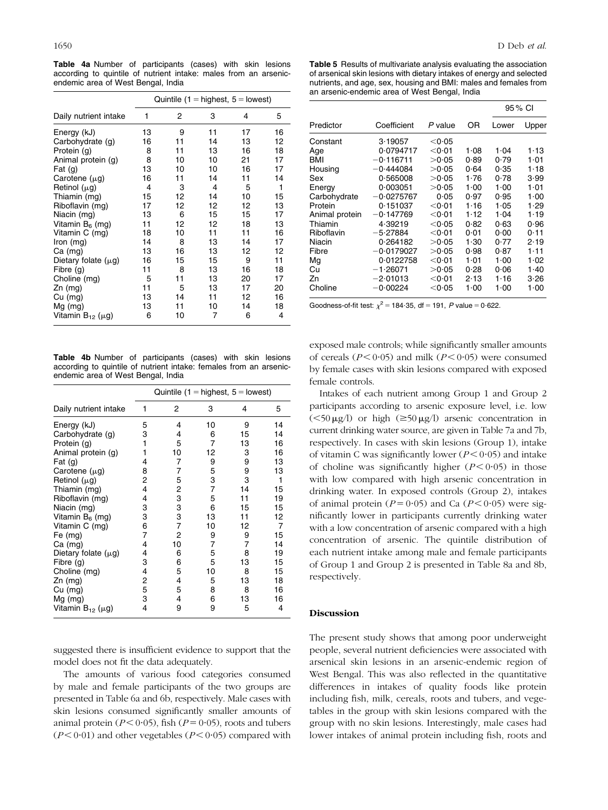Table 4a Number of participants (cases) with skin lesions according to quintile of nutrient intake: males from an arsenicendemic area of West Bengal, India

|                             |    | Quintile $(1 =$ highest, $5 =$ lowest) |    |    |    |  |  |
|-----------------------------|----|----------------------------------------|----|----|----|--|--|
| Daily nutrient intake       | 1  | 2                                      | 3  | 4  | 5  |  |  |
| Energy (kJ)                 | 13 | 9                                      | 11 | 17 | 16 |  |  |
| Carbohydrate (g)            | 16 | 11                                     | 14 | 13 | 12 |  |  |
| Protein (g)                 | 8  | 11                                     | 13 | 16 | 18 |  |  |
| Animal protein (g)          | 8  | 10                                     | 10 | 21 | 17 |  |  |
| Fat $(g)$                   | 13 | 10                                     | 10 | 16 | 17 |  |  |
| Carotene $(\mu g)$          | 16 | 11                                     | 14 | 11 | 14 |  |  |
| Retinol $(\mu g)$           | 4  | з                                      | 4  | 5  | 1  |  |  |
| Thiamin (mg)                | 15 | 12                                     | 14 | 10 | 15 |  |  |
| Riboflavin (mg)             | 17 | 12                                     | 12 | 12 | 13 |  |  |
| Niacin (mg)                 | 13 | 6                                      | 15 | 15 | 17 |  |  |
| Vitamin B <sub>6</sub> (mg) | 11 | 12                                     | 12 | 18 | 13 |  |  |
| Vitamin C (mg)              | 18 | 10                                     | 11 | 11 | 16 |  |  |
| Iron (mg)                   | 14 | 8                                      | 13 | 14 | 17 |  |  |
| $Ca$ (mg)                   | 13 | 16                                     | 13 | 12 | 12 |  |  |
| Dietary folate $(\mu g)$    | 16 | 15                                     | 15 | 9  | 11 |  |  |
| Fibre (g)                   | 11 | 8                                      | 13 | 16 | 18 |  |  |
| Choline (mg)                | 5  | 11                                     | 13 | 20 | 17 |  |  |
| $Zn$ (mg)                   | 11 | 5                                      | 13 | 17 | 20 |  |  |
| $Cu$ (mg)                   | 13 | 14                                     | 11 | 12 | 16 |  |  |
| $Mg$ (mg)                   | 13 | 11                                     | 10 | 14 | 18 |  |  |
| Vitamin $B_{12}$ ( $\mu$ g) | 6  | 10                                     | 7  | 6  | 4  |  |  |

<span id="page-6-0"></span>1650 D Deb et al.

Table 5 Results of multivariate analysis evaluating the association of arsenical skin lesions with dietary intakes of energy and selected nutrients, and age, sex, housing and BMI: males and females from an arsenic-endemic area of West Bengal, India

|                |              |                  |      |          | 95 % CI  |
|----------------|--------------|------------------|------|----------|----------|
| Predictor      | Coefficient  | P value          | OR   | Lower    | Upper    |
| Constant       | 3.19057      | $<$ 0 $\cdot$ 05 |      |          |          |
| Age            | 0.0794717    | $<$ 0 $\cdot$ 01 | 1.08 | 1.04     | 1.13     |
| BMI            | $-0.116711$  | > 0.05           | 0.89 | 0.79     | 1.01     |
| Housing        | $-0.444084$  | > 0.05           | 0.64 | 0.35     | 1.18     |
| Sex            | 0.565008     | > 0.05           | 1.76 | 0.78     | 3.99     |
| Energy         | 0.003051     | > 0.05           | 1.00 | 1.00     | 1.01     |
| Carbohydrate   | $-0.0275767$ | 0.05             | 0.97 | 0.95     | $1 - 00$ |
| Protein        | 0.151037     | $<$ 0 $\cdot$ 01 | 1.16 | 1.05     | 1.29     |
| Animal protein | $-0.147769$  | $<$ 0 $\cdot$ 01 | 1.12 | 1.04     | 1.19     |
| Thiamin        | 4.39219      | $<$ 0 $\cdot$ 05 | 0.82 | 0.63     | 0.96     |
| Riboflavin     | $-5.27884$   | < 0.01           | 0.01 | 0.00     | 0.11     |
| Niacin         | 0.264182     | >0.05            | 1.30 | 0.77     | 2.19     |
| Fibre          | $-0.0179027$ | > 0.05           | 0.98 | 0.87     | 1.11     |
| Mq             | 0.0122758    | $<$ 0 $\cdot$ 01 | 1.01 | 1.00     | 1.02     |
| Cu             | $-1.26071$   | > 0.05           | 0.28 | 0.06     | $1-40$   |
| Zn             | $-2.01013$   | $<$ 0 $\cdot$ 01 | 2.13 | 1.16     | 3.26     |
| Choline        | $-0.00224$   | $<$ 0 $\cdot$ 05 | 1.00 | $1 - 00$ | $1 - 00$ |

Goodness-of-fit test:  $\chi^2$  = 184.35, df = 191, P value = 0.622.

Table 4b Number of participants (cases) with skin lesions according to quintile of nutrient intake: females from an arsenicendemic area of West Bengal, India

|                             |   | Quintile $(1 =$ highest, $5 =$ lowest) |    |    |    |  |  |  |
|-----------------------------|---|----------------------------------------|----|----|----|--|--|--|
| Daily nutrient intake       | 1 | 2                                      | 3  | 4  | 5  |  |  |  |
| Energy (kJ)                 | 5 | 4                                      | 10 | 9  | 14 |  |  |  |
| Carbohydrate (g)            | 3 | 4                                      | 6  | 15 | 14 |  |  |  |
| Protein (g)                 |   | 5                                      | 7  | 13 | 16 |  |  |  |
| Animal protein (g)          |   | 10                                     | 12 | 3  | 16 |  |  |  |
| Fat (g)                     | 4 | 7                                      | 9  | 9  | 13 |  |  |  |
| Carotene $(\mu g)$          | 8 | 7                                      | 5  | 9  | 13 |  |  |  |
| Retinol $(\mu g)$           | 2 | 5                                      | 3  | 3  | 1  |  |  |  |
| Thiamin (mg)                | 4 | 2                                      | 7  | 14 | 15 |  |  |  |
| Riboflavin (mg)             | 4 | 3                                      | 5  | 11 | 19 |  |  |  |
| Niacin (mg)                 | 3 | 3                                      | 6  | 15 | 15 |  |  |  |
| Vitamin B <sub>6</sub> (mg) | 3 | 3                                      | 13 | 11 | 12 |  |  |  |
| Vitamin C (mg)              | 6 | 7                                      | 10 | 12 | 7  |  |  |  |
| Fe (mg)                     | 7 | 2                                      | 9  | 9  | 15 |  |  |  |
| $Ca$ (mg)                   | 4 | 10                                     | 7  | 7  | 14 |  |  |  |
| Dietary folate $(\mu g)$    | 4 | 6                                      | 5  | 8  | 19 |  |  |  |
| Fibre (g)                   | 3 | 6                                      | 5  | 13 | 15 |  |  |  |
| Choline (mg)                | 4 | 5                                      | 10 | 8  | 15 |  |  |  |
| $Zn$ (mg)                   | 2 | 4                                      | 5  | 13 | 18 |  |  |  |
| Cu (mg)                     | 5 | 5                                      | 8  | 8  | 16 |  |  |  |
| $Mg$ (mg)                   | 3 | 4                                      | 6  | 13 | 16 |  |  |  |
| Vitamin $B_{12}$ ( $\mu$ g) | 4 | 9                                      | 9  | 5  | 4  |  |  |  |

suggested there is insufficient evidence to support that the model does not fit the data adequately.

The amounts of various food categories consumed by male and female participants of the two groups are presented in [Table 6a](#page-7-0) and [6b,](#page-7-0) respectively. Male cases with skin lesions consumed significantly smaller amounts of animal protein ( $P < 0.05$ ), fish ( $P = 0.05$ ), roots and tubers  $(P < 0.01)$  and other vegetables  $(P < 0.05)$  compared with

exposed male controls; while significantly smaller amounts of cereals  $(P < 0.05)$  and milk  $(P < 0.05)$  were consumed by female cases with skin lesions compared with exposed female controls.

Intakes of each nutrient among Group 1 and Group 2 participants according to arsenic exposure level, i.e. low  $(<50 \,\mu g/l$ ) or high  $(\geq 50 \,\mu g/l)$  arsenic concentration in current drinking water source, are given in [Table 7a](#page-8-0) and [7b](#page-9-0), respectively. In cases with skin lesions (Group 1), intake of vitamin C was significantly lower ( $P < 0.05$ ) and intake of choline was significantly higher  $(P < 0.05)$  in those with low compared with high arsenic concentration in drinking water. In exposed controls (Group 2), intakes of animal protein  $(P = 0.05)$  and Ca  $(P < 0.05)$  were significantly lower in participants currently drinking water with a low concentration of arsenic compared with a high concentration of arsenic. The quintile distribution of each nutrient intake among male and female participants of Group 1 and Group 2 is presented in [Table 8a](#page-9-0) and [8b](#page-10-0), respectively.

# Discussion

The present study shows that among poor underweight people, several nutrient deficiencies were associated with arsenical skin lesions in an arsenic-endemic region of West Bengal. This was also reflected in the quantitative differences in intakes of quality foods like protein including fish, milk, cereals, roots and tubers, and vegetables in the group with skin lesions compared with the group with no skin lesions. Interestingly, male cases had lower intakes of animal protein including fish, roots and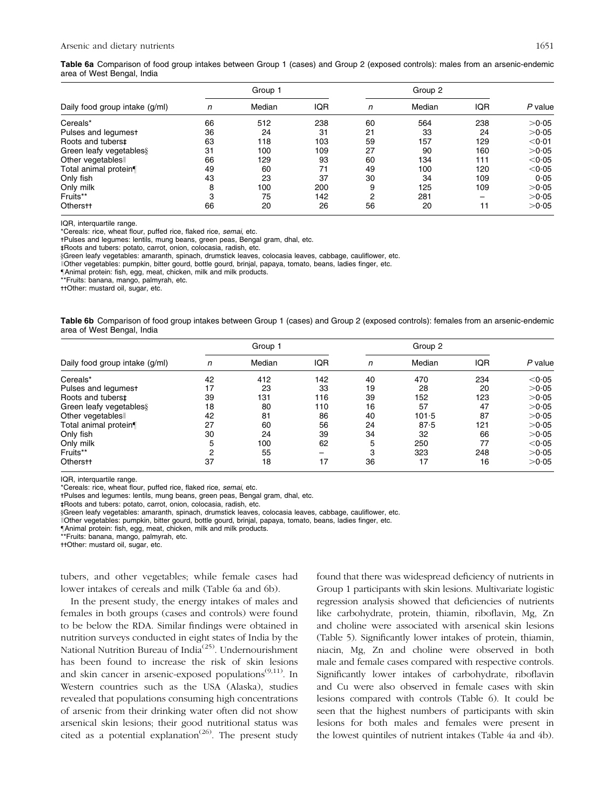<span id="page-7-0"></span>

| Table 6a Comparison of food group intakes between Group 1 (cases) and Group 2 (exposed controls): males from an arsenic-endemic |  |  |  |  |
|---------------------------------------------------------------------------------------------------------------------------------|--|--|--|--|
| area of West Bengal, India                                                                                                      |  |  |  |  |

|                                | Group 1 |        |     |    | Group 2 |     |          |  |
|--------------------------------|---------|--------|-----|----|---------|-----|----------|--|
| Daily food group intake (g/ml) | n       | Median | IQR | n  | Median  | IQR | P value  |  |
| Cereals*                       | 66      | 512    | 238 | 60 | 564     | 238 | >0.05    |  |
| Pulses and legumest            | 36      | 24     | 31  | 21 | 33      | 24  | >0.05    |  |
| Roots and tuberst              | 63      | 118    | 103 | 59 | 157     | 129 | $<$ 0.01 |  |
| Green leafy vegetables§        | 31      | 100    | 109 | 27 | 90      | 160 | >0.05    |  |
| Other vegetables!              | 66      | 129    | 93  | 60 | 134     | 111 | $<$ 0.05 |  |
| Total animal protein¶          | 49      | 60     | 71  | 49 | 100     | 120 | $<$ 0.05 |  |
| Only fish                      | 43      | 23     | 37  | 30 | 34      | 109 | 0.05     |  |
| Only milk                      | 8       | 100    | 200 | 9  | 125     | 109 | >0.05    |  |
| Fruits**                       | 3       | 75     | 142 | ◠  | 281     | -   | >0.05    |  |
| Others <sub>tt</sub>           | 66      | 20     | 26  | 56 | 20      | 11  | >0.05    |  |

IQR, interquartile range.

\*Cereals: rice, wheat flour, puffed rice, flaked rice, semai, etc.

-Pulses and legumes: lentils, mung beans, green peas, Bengal gram, dhal, etc.

- - Roots and tubers: potato, carrot, onion, colocasia, radish, etc.

yGreen leafy vegetables: amaranth, spinach, drumstick leaves, colocasia leaves, cabbage, cauliflower, etc.

JOther vegetables: pumpkin, bitter gourd, bottle gourd, brinjal, papaya, tomato, beans, ladies finger, etc.

TAnimal protein: fish, egg, meat, chicken, milk and milk products.

\*\*Fruits: banana, mango, palmyrah, etc.

++Other: mustard oil, sugar, etc.

Table 6b Comparison of food group intakes between Group 1 (cases) and Group 2 (exposed controls): females from an arsenic-endemic area of West Bengal, India

|                                |    | Group 1 |     |    |        |     |          |
|--------------------------------|----|---------|-----|----|--------|-----|----------|
| Daily food group intake (g/ml) | n  | Median  | IQR | n  | Median | IQR | P value  |
| Cereals*                       | 42 | 412     | 142 | 40 | 470    | 234 | $<$ 0.05 |
| Pulses and legumest            | 17 | 23      | 33  | 19 | 28     | 20  | >0.05    |
| Roots and tuberst              | 39 | 131     | 116 | 39 | 152    | 123 | >0.05    |
| Green leafy vegetables§        | 18 | 80      | 110 | 16 | 57     | 47  | >0.05    |
| Other vegetables               | 42 | 81      | 86  | 40 | 101.5  | 87  | >0.05    |
| Total animal protein¶          | 27 | 60      | 56  | 24 | 87.5   | 121 | >0.05    |
| Only fish                      | 30 | 24      | 39  | 34 | 32     | 66  | >0.05    |
| Only milk                      | 5  | 100     | 62  | 5  | 250    | 77  | $<$ 0.05 |
| Fruits**                       | 2  | 55      | -   | 3  | 323    | 248 | >0.05    |
| Otherst <sub>t</sub>           | 37 | 18      | 17  | 36 | 17     | 16  | >0.05    |

IQR, interquartile range.

\*Cereals: rice, wheat flour, puffed rice, flaked rice, semai, etc.

-Pulses and legumes: lentils, mung beans, green peas, Bengal gram, dhal, etc.

- - Roots and tubers: potato, carrot, onion, colocasia, radish, etc.

yGreen leafy vegetables: amaranth, spinach, drumstick leaves, colocasia leaves, cabbage, cauliflower, etc.

JOther vegetables: pumpkin, bitter gourd, bottle gourd, brinjal, papaya, tomato, beans, ladies finger, etc.

TAnimal protein: fish, egg, meat, chicken, milk and milk products.

\*\*Fruits: banana, mango, palmyrah, etc.

++Other: mustard oil, sugar, etc.

tubers, and other vegetables; while female cases had lower intakes of cereals and milk (Table 6a and 6b).

In the present study, the energy intakes of males and females in both groups (cases and controls) were found to be below the RDA. Similar findings were obtained in nutrition surveys conducted in eight states of India by the National Nutrition Bureau of India<sup>([25\)](#page-11-0)</sup>. Undernourishment has been found to increase the risk of skin lesions and skin cancer in arsenic-exposed populations $(9,11)$ . In Western countries such as the USA (Alaska), studies revealed that populations consuming high concentrations of arsenic from their drinking water often did not show arsenical skin lesions; their good nutritional status was cited as a potential explanation<sup> $(26)$  $(26)$ </sup>. The present study found that there was widespread deficiency of nutrients in Group 1 participants with skin lesions. Multivariate logistic regression analysis showed that deficiencies of nutrients like carbohydrate, protein, thiamin, riboflavin, Mg, Zn and choline were associated with arsenical skin lesions ([Table 5](#page-6-0)). Significantly lower intakes of protein, thiamin, niacin, Mg, Zn and choline were observed in both male and female cases compared with respective controls. Significantly lower intakes of carbohydrate, riboflavin and Cu were also observed in female cases with skin lesions compared with controls (Table 6). It could be seen that the highest numbers of participants with skin lesions for both males and females were present in the lowest quintiles of nutrient intakes ([Table 4a](#page-6-0) and [4b\)](#page-6-0).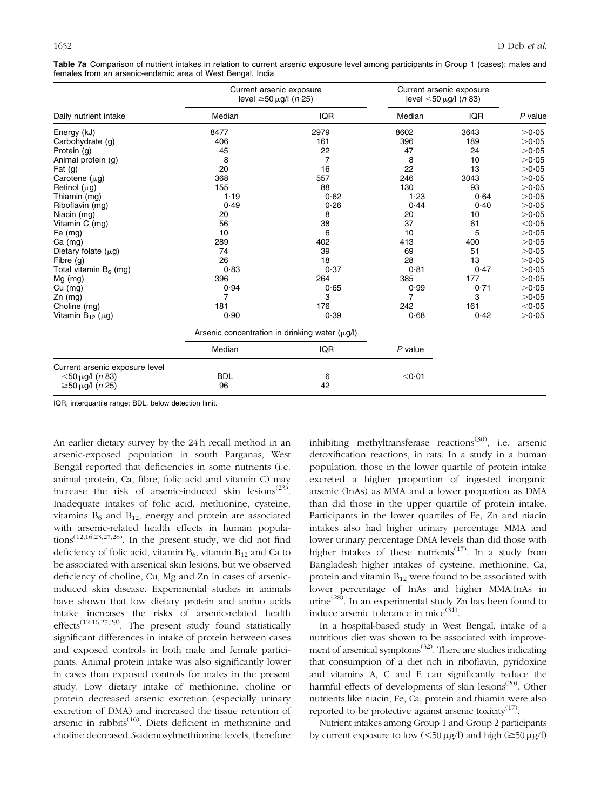<span id="page-8-0"></span>Table 7a Comparison of nutrient intakes in relation to current arsenic exposure level among participants in Group 1 (cases): males and females from an arsenic-endemic area of West Bengal, India

|                                | Current arsenic exposure | level $\geq 50 \,\mu$ g/l (n 25)                    | Current arsenic exposure<br>level $<$ 50 µg/l (n 83) |            |                  |
|--------------------------------|--------------------------|-----------------------------------------------------|------------------------------------------------------|------------|------------------|
| Daily nutrient intake          | Median                   | <b>IQR</b>                                          | Median                                               | <b>IQR</b> | $P$ value        |
| Energy (kJ)                    | 8477                     | 2979                                                | 8602                                                 | 3643       | >0.05            |
| Carbohydrate (g)               | 406                      | 161                                                 | 396                                                  | 189        | >0.05            |
| Protein (g)                    | 45                       | 22                                                  | 47                                                   | 24         | >0.05            |
| Animal protein (g)             | 8                        | 7                                                   | 8                                                    | 10         | >0.05            |
| Fat $(g)$                      | 20                       | 16                                                  | 22                                                   | 13         | >0.05            |
| Carotene $(\mu g)$             | 368                      | 557                                                 | 246                                                  | 3043       | >0.05            |
| Retinol $(\mu q)$              | 155                      | 88                                                  | 130                                                  | 93         | >0.05            |
| Thiamin (mg)                   | 1.19                     | 0.62                                                | 1.23                                                 | 0.64       | >0.05            |
| Riboflavin (mg)                | 0.49                     | 0.26                                                | 0.44                                                 | 0.40       | >0.05            |
| Niacin (mg)                    | 20                       | 8                                                   | 20                                                   | 10         | >0.05            |
| Vitamin C (mg)                 | 56                       | 38                                                  | 37                                                   | 61         | $<$ 0 $\cdot$ 05 |
| Fe $(mg)$                      | 10                       | 6                                                   | 10                                                   | 5          | >0.05            |
| $Ca$ (mg)                      | 289                      | 402                                                 | 413                                                  | 400        | >0.05            |
| Dietary folate $(\mu g)$       | 74                       | 39                                                  | 69                                                   | 51         | >0.05            |
| Fibre (g)                      | 26                       | 18                                                  | 28                                                   | 13         | >0.05            |
| Total vitamin $B_6$ (mg)       | 0.83                     | 0.37                                                | 0.81                                                 | 0.47       | >0.05            |
| $Mg$ (mg)                      | 396                      | 264                                                 | 385                                                  | 177        | >0.05            |
| $Cu$ (mg)                      | 0.94                     | 0.65                                                | 0.99                                                 | 0.71       | >0.05            |
| $Zn$ (mg)                      | 7                        | 3                                                   | 7                                                    | 3          | >0.05            |
| Choline (mg)                   | 181                      | 176                                                 | 242                                                  | 161        | $<$ 0.05         |
| Vitamin $B_{12}$ ( $\mu$ g)    | 0.90                     | 0.39                                                | 0.68                                                 | 0.42       | >0.05            |
|                                |                          | Arsenic concentration in drinking water $(\mu g/l)$ |                                                      |            |                  |
|                                | Median                   | <b>IQR</b>                                          | $P$ value                                            |            |                  |
| Current arsenic exposure level |                          |                                                     |                                                      |            |                  |
| $<$ 50 $\mu$ g/l (n 83)        | <b>BDL</b>               | 6                                                   | $<$ 0 $\cdot$ 01                                     |            |                  |
| $≥50 \mu$ g/l ( <i>n</i> 25)   | 96                       | 42                                                  |                                                      |            |                  |

IQR, interquartile range; BDL, below detection limit.

An earlier dietary survey by the 24 h recall method in an arsenic-exposed population in south Parganas, West Bengal reported that deficiencies in some nutrients (i.e. animal protein, Ca, fibre, folic acid and vitamin C) may increase the risk of arsenic-induced skin lesions<sup>([23\)](#page-11-0)</sup>. Inadequate intakes of folic acid, methionine, cysteine, vitamins  $B_6$  and  $B_{12}$ , energy and protein are associated with arsenic-related health effects in human populations<sup> $(12,16,23,27,28)$  $(12,16,23,27,28)$  $(12,16,23,27,28)$ </sup>. In the present study, we did not find deficiency of folic acid, vitamin  $B_6$ , vitamin  $B_{12}$  and Ca to be associated with arsenical skin lesions, but we observed deficiency of choline, Cu, Mg and Zn in cases of arsenicinduced skin disease. Experimental studies in animals have shown that low dietary protein and amino acids intake increases the risks of arsenic-related health effects<sup>([12](#page-11-0),[16,27,29\)](#page-11-0)</sup>. The present study found statistically significant differences in intake of protein between cases and exposed controls in both male and female participants. Animal protein intake was also significantly lower in cases than exposed controls for males in the present study. Low dietary intake of methionine, choline or protein decreased arsenic excretion (especially urinary excretion of DMA) and increased the tissue retention of arsenic in rabbits $(16)$  $(16)$  $(16)$ . Diets deficient in methionine and choline decreased S-adenosylmethionine levels, therefore inhibiting methyltransferase reactions<sup> $(30)$  $(30)$ </sup>, i.e. arsenic detoxification reactions, in rats. In a study in a human population, those in the lower quartile of protein intake excreted a higher proportion of ingested inorganic arsenic (InAs) as MMA and a lower proportion as DMA than did those in the upper quartile of protein intake. Participants in the lower quartiles of Fe, Zn and niacin intakes also had higher urinary percentage MMA and lower urinary percentage DMA levels than did those with higher intakes of these nutrients<sup> $(17)$  $(17)$ </sup>. In a study from Bangladesh higher intakes of cysteine, methionine, Ca, protein and vitamin  $B_{12}$  were found to be associated with lower percentage of InAs and higher MMA:InAs in urine<sup>([28](#page-11-0))</sup>. In an experimental study Zn has been found to induce arsenic tolerance in mice $(31)$  $(31)$ .

In a hospital-based study in West Bengal, intake of a nutritious diet was shown to be associated with improve-ment of arsenical symptoms<sup>([32](#page-11-0))</sup>. There are studies indicating that consumption of a diet rich in riboflavin, pyridoxine and vitamins A, C and E can significantly reduce the harmful effects of developments of skin lesions<sup> $(20)$  $(20)$  $(20)$ </sup>. Other nutrients like niacin, Fe, Ca, protein and thiamin were also reported to be protective against arsenic toxicity $(17)$  $(17)$ .

Nutrient intakes among Group 1 and Group 2 participants by current exposure to low  $(<50 \,\mu g/l$ ) and high  $(\geq 50 \,\mu g/l)$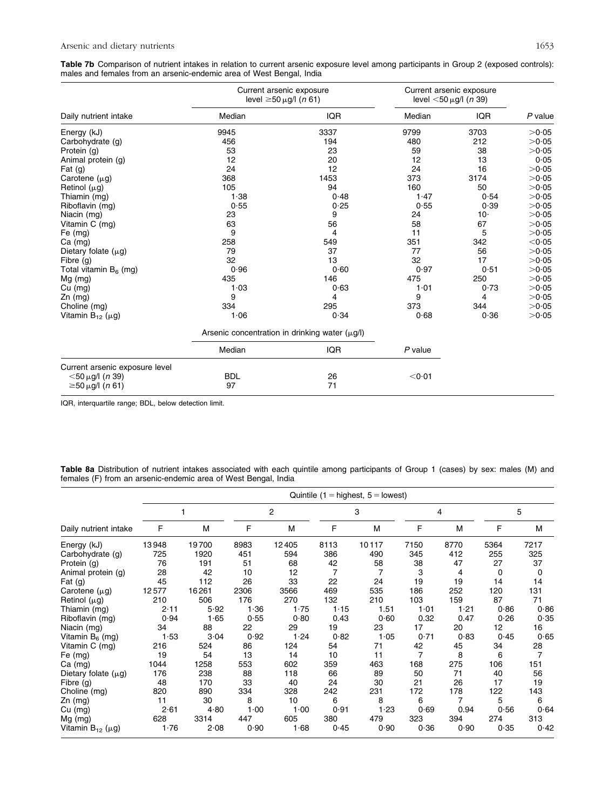<span id="page-9-0"></span>Table 7b Comparison of nutrient intakes in relation to current arsenic exposure level among participants in Group 2 (exposed controls): males and females from an arsenic-endemic area of West Bengal, India

|                                   |            | Current arsenic exposure<br>level $\geq 50 \mu$ g/l ( <i>n</i> 61) | Current arsenic exposure<br>level $<$ 50 $\mu$ g/l (n 39) |                 |                  |
|-----------------------------------|------------|--------------------------------------------------------------------|-----------------------------------------------------------|-----------------|------------------|
| Daily nutrient intake             | Median     | <b>IQR</b>                                                         | Median                                                    | <b>IQR</b>      | $P$ value        |
| Energy (kJ)                       | 9945       | 3337                                                               | 9799                                                      | 3703            | >0.05            |
| Carbohydrate (g)                  | 456        | 194                                                                | 480                                                       | 212             | >0.05            |
| Protein (g)                       | 53         | 23                                                                 | 59                                                        | 38              | >0.05            |
| Animal protein (g)                | 12         | 20                                                                 | 12                                                        | 13              | 0.05             |
| Fat $(g)$                         | 24         | 12                                                                 | 24                                                        | 16              | >0.05            |
| Carotene $(\mu q)$                | 368        | 1453                                                               | 373                                                       | 3174            | >0.05            |
| Retinol $(\mu q)$                 | 105        | 94                                                                 | 160                                                       | 50              | >0.05            |
| Thiamin (mg)                      | 1.38       | 0.48                                                               | 1.47                                                      | 0.54            | >0.05            |
| Riboflavin (mg)                   | 0.55       | 0.25                                                               | 0.55                                                      | 0.39            | >0.05            |
| Niacin (mg)                       | 23         | 9                                                                  | 24                                                        | 10 <sup>1</sup> | >0.05            |
| Vitamin C (mg)                    | 63         | 56                                                                 | 58                                                        | 67              | >0.05            |
| Fe (mg)                           | 9          | 4                                                                  | 11                                                        | 5               | >0.05            |
| $Ca$ (mg)                         | 258        | 549                                                                | 351                                                       | 342             | $<$ 0 $\cdot$ 05 |
| Dietary folate $(\mu g)$          | 79         | 37                                                                 | 77                                                        | 56              | >0.05            |
| Fibre (g)                         | 32         | 13                                                                 | 32                                                        | 17              | >0.05            |
| Total vitamin B <sub>6</sub> (mg) | 0.96       | 0.60                                                               | 0.97                                                      | 0.51            | >0.05            |
| $Mg$ (mg)                         | 435        | 146                                                                | 475                                                       | 250             | >0.05            |
| Cu (mg)                           | 1.03       | 0.63                                                               | 1.01                                                      | 0.73            | >0.05            |
| Zn (mg)                           | 9          | 4                                                                  | 9                                                         | $\overline{4}$  | >0.05            |
| Choline (mg)                      | 334        | 295                                                                | 373                                                       | 344             | >0.05            |
| Vitamin $B_{12}$ ( $\mu$ g)       | 1.06       | 0.34                                                               | 0.68                                                      | 0.36            | >0.05            |
|                                   |            | Arsenic concentration in drinking water $(\mu g/l)$                |                                                           |                 |                  |
|                                   | Median     | <b>IQR</b>                                                         | $P$ value                                                 |                 |                  |
| Current arsenic exposure level    |            |                                                                    |                                                           |                 |                  |
| $<$ 50 $\mu$ g/l (n 39)           | <b>BDL</b> | 26                                                                 | $<$ 0 $\cdot$ 01                                          |                 |                  |
| $\geq$ 50 μg/l ( <i>n</i> 61)     | 97         | 71                                                                 |                                                           |                 |                  |

IQR, interquartile range; BDL, below detection limit.

Table 8a Distribution of nutrient intakes associated with each quintile among participants of Group 1 (cases) by sex: males (M) and females (F) from an arsenic-endemic area of West Bengal, India

|                             | Quintile (1 = highest, $5 =$ lowest) |       |      |       |                |       |                |      |      |                |
|-----------------------------|--------------------------------------|-------|------|-------|----------------|-------|----------------|------|------|----------------|
| Daily nutrient intake       | 1                                    |       | 2    |       | 3              |       | 4              |      | 5    |                |
|                             | F                                    | M     | F    | M     | F              | M     | F              | M    | F    | M              |
| Energy (kJ)                 | 13948                                | 19700 | 8983 | 12405 | 8113           | 10117 | 7150           | 8770 | 5364 | 7217           |
| Carbohydrate (g)            | 725                                  | 1920  | 451  | 594   | 386            | 490   | 345            | 412  | 255  | 325            |
| Protein (g)                 | 76                                   | 191   | 51   | 68    | 42             | 58    | 38             | 47   | 27   | 37             |
| Animal protein (g)          | 28                                   | 42    | 10   | 12    | $\overline{7}$ | 7     | 3              | 4    | 0    | 0              |
| Fat $(g)$                   | 45                                   | 112   | 26   | 33    | 22             | 24    | 19             | 19   | 14   | 14             |
| Carotene $(\mu g)$          | 12577                                | 16261 | 2306 | 3566  | 469            | 535   | 186            | 252  | 120  | 131            |
| Retinol $(\mu g)$           | 210                                  | 506   | 176  | 270   | 132            | 210   | 103            | 159  | 87   | 71             |
| Thiamin (mg)                | 2.11                                 | 5.92  | 1.36 | 1.75  | 1.15           | 1.51  | 1.01           | 1.21 | 0.86 | 0.86           |
| Riboflavin (mg)             | 0.94                                 | 1.65  | 0.55 | 0.80  | 0.43           | 0.60  | 0.32           | 0.47 | 0.26 | 0.35           |
| Niacin (mg)                 | 34                                   | 88    | 22   | 29    | 19             | 23    | 17             | 20   | 12   | 16             |
| Vitamin $B_6$ (mg)          | 1.53                                 | 3.04  | 0.92 | 1.24  | 0.82           | 1.05  | 0.71           | 0.83 | 0.45 | 0.65           |
| Vitamin C (mg)              | 216                                  | 524   | 86   | 124   | 54             | 71    | 42             | 45   | 34   | 28             |
| Fe (mg)                     | 19                                   | 54    | 13   | 14    | 10             | 11    | $\overline{7}$ | 8    | 6    | $\overline{7}$ |
| $Ca$ (mg)                   | 1044                                 | 1258  | 553  | 602   | 359            | 463   | 168            | 275  | 106  | 151            |
| Dietary folate $(\mu g)$    | 176                                  | 238   | 88   | 118   | 66             | 89    | 50             | 71   | 40   | 56             |
| Fibre (g)                   | 48                                   | 170   | 33   | 40    | 24             | 30    | 21             | 26   | 17   | 19             |
| Choline (mg)                | 820                                  | 890   | 334  | 328   | 242            | 231   | 172            | 178  | 122  | 143            |
| $Zn$ (mg)                   | 11                                   | 30    | 8    | 10    | 6              | 8     | 6              | 7    | 5    | 6              |
| Cu (mg)                     | 2.61                                 | 4.80  | 1.00 | 1.00  | 0.91           | 1.23  | 0.69           | 0.94 | 0.56 | 0.64           |
| Mg (mg)                     | 628                                  | 3314  | 447  | 605   | 380            | 479   | 323            | 394  | 274  | 313            |
| Vitamin $B_{12}$ ( $\mu$ g) | 1.76                                 | 2.08  | 0.90 | 1.68  | 0.45           | 0.90  | 0.36           | 0.90 | 0.35 | 0.42           |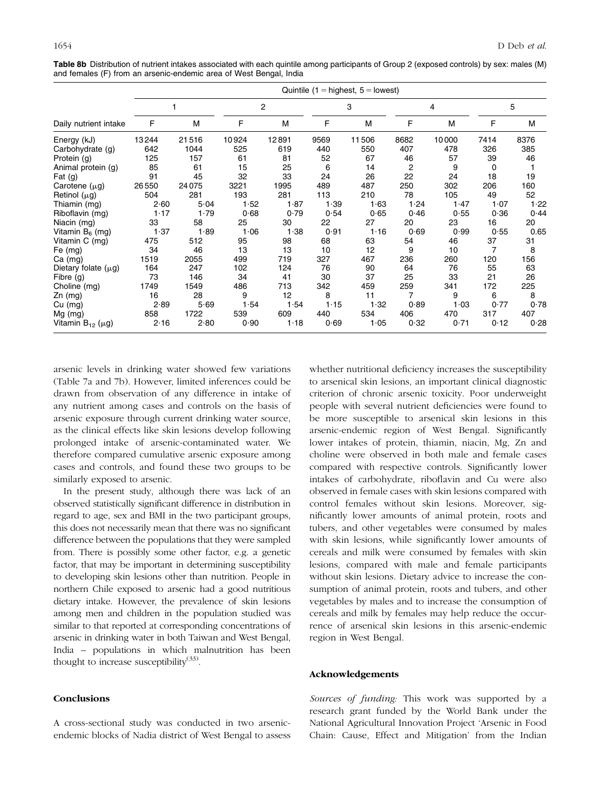|                             | Quintile (1 = highest, $5$ = lowest) |       |              |       |      |       |      |       |      |      |
|-----------------------------|--------------------------------------|-------|--------------|-------|------|-------|------|-------|------|------|
| Daily nutrient intake       |                                      |       | $\mathbf{2}$ |       | 3    |       | 4    |       | 5    |      |
|                             | F                                    | M     | F            | M     | F    | M     | F    | M     | F    | M    |
| Energy (kJ)                 | 13244                                | 21516 | 10924        | 12891 | 9569 | 11506 | 8682 | 10000 | 7414 | 8376 |
| Carbohydrate (g)            | 642                                  | 1044  | 525          | 619   | 440  | 550   | 407  | 478   | 326  | 385  |
| Protein (g)                 | 125                                  | 157   | 61           | 81    | 52   | 67    | 46   | 57    | 39   | 46   |
| Animal protein (g)          | 85                                   | 61    | 15           | 25    | 6    | 14    | 2    | 9     | 0    |      |
| Fat $(g)$                   | 91                                   | 45    | 32           | 33    | 24   | 26    | 22   | 24    | 18   | 19   |
| Carotene $(\mu g)$          | 26550                                | 24075 | 3221         | 1995  | 489  | 487   | 250  | 302   | 206  | 160  |
| Retinol $(\mu g)$           | 504                                  | 281   | 193          | 281   | 113  | 210   | 78   | 105   | 49   | 52   |
| Thiamin (mg)                | 2.60                                 | 5.04  | 1.52         | 1.87  | 1.39 | 1.63  | 1.24 | 1.47  | 1.07 | 1.22 |
| Riboflavin (mg)             | 1.17                                 | 1.79  | 0.68         | 0.79  | 0.54 | 0.65  | 0.46 | 0.55  | 0.36 | 0.44 |
| Niacin (mg)                 | 33                                   | 58    | 25           | 30    | 22   | 27    | 20   | 23    | 16   | 20   |
| Vitamin $B_6$ (mg)          | 1.37                                 | 1.89  | 1.06         | 1.38  | 0.91 | 1.16  | 0.69 | 0.99  | 0.55 | 0.65 |
| Vitamin C (mg)              | 475                                  | 512   | 95           | 98    | 68   | 63    | 54   | 46    | 37   | 31   |
| Fe (mg)                     | 34                                   | 46    | 13           | 13    | 10   | 12    | 9    | 10    | 7    | 8    |
| $Ca$ (mg)                   | 1519                                 | 2055  | 499          | 719   | 327  | 467   | 236  | 260   | 120  | 156  |
| Dietary folate $(\mu g)$    | 164                                  | 247   | 102          | 124   | 76   | 90    | 64   | 76    | 55   | 63   |
| Fibre (g)                   | 73                                   | 146   | 34           | 41    | 30   | 37    | 25   | 33    | 21   | 26   |
| Choline (mg)                | 1749                                 | 1549  | 486          | 713   | 342  | 459   | 259  | 341   | 172  | 225  |
| Zn (mg)                     | 16                                   | 28    | 9            | 12    | 8    | 11    | 7    | 9     | 6    | 8    |
| $Cu$ (mg)                   | 2.89                                 | 5.69  | 1.54         | 1.54  | 1.15 | 1.32  | 0.89 | 1.03  | 0.77 | 0.78 |
| Mg (mg)                     | 858                                  | 1722  | 539          | 609   | 440  | 534   | 406  | 470   | 317  | 407  |
| Vitamin $B_{12}$ ( $\mu$ g) | 2.16                                 | 2.80  | 0.90         | 1.18  | 0.69 | 1.05  | 0.32 | 0.71  | 0.12 | 0.28 |

<span id="page-10-0"></span>Table 8b Distribution of nutrient intakes associated with each quintile among participants of Group 2 (exposed controls) by sex: males (M) and females (F) from an arsenic-endemic area of West Bengal, India

arsenic levels in drinking water showed few variations ([Table 7a](#page-8-0) and [7b](#page-9-0)). However, limited inferences could be drawn from observation of any difference in intake of any nutrient among cases and controls on the basis of arsenic exposure through current drinking water source, as the clinical effects like skin lesions develop following prolonged intake of arsenic-contaminated water. We therefore compared cumulative arsenic exposure among cases and controls, and found these two groups to be similarly exposed to arsenic.

In the present study, although there was lack of an observed statistically significant difference in distribution in regard to age, sex and BMI in the two participant groups, this does not necessarily mean that there was no significant difference between the populations that they were sampled from. There is possibly some other factor, e.g. a genetic factor, that may be important in determining susceptibility to developing skin lesions other than nutrition. People in northern Chile exposed to arsenic had a good nutritious dietary intake. However, the prevalence of skin lesions among men and children in the population studied was similar to that reported at corresponding concentrations of arsenic in drinking water in both Taiwan and West Bengal, India – populations in which malnutrition has been thought to increase susceptibility<sup>[\(33](#page-11-0))</sup>.

# **Conclusions**

A cross-sectional study was conducted in two arsenicendemic blocks of Nadia district of West Bengal to assess

whether nutritional deficiency increases the susceptibility to arsenical skin lesions, an important clinical diagnostic criterion of chronic arsenic toxicity. Poor underweight people with several nutrient deficiencies were found to be more susceptible to arsenical skin lesions in this arsenic-endemic region of West Bengal. Significantly lower intakes of protein, thiamin, niacin, Mg, Zn and choline were observed in both male and female cases compared with respective controls. Significantly lower intakes of carbohydrate, riboflavin and Cu were also observed in female cases with skin lesions compared with control females without skin lesions. Moreover, significantly lower amounts of animal protein, roots and tubers, and other vegetables were consumed by males with skin lesions, while significantly lower amounts of cereals and milk were consumed by females with skin lesions, compared with male and female participants without skin lesions. Dietary advice to increase the consumption of animal protein, roots and tubers, and other vegetables by males and to increase the consumption of cereals and milk by females may help reduce the occurrence of arsenical skin lesions in this arsenic-endemic region in West Bengal.

# Acknowledgements

Sources of funding: This work was supported by a research grant funded by the World Bank under the National Agricultural Innovation Project 'Arsenic in Food Chain: Cause, Effect and Mitigation' from the Indian